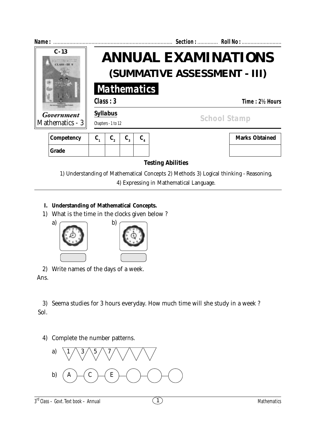

**Testing Abilities**

1) Understanding of Mathematical Concepts 2) Methods 3) Logical thinking - Reasoning, 4) Expressing in Mathematical Language.

#### **I. Understanding of Mathematical Concepts.**

1) What is the time in the clocks given below ?



2) Write names of the days of a week. Ans.

3) Seema studies for 3 hours everyday. How much time will she study in a week ? Sol.

4) Complete the number patterns.

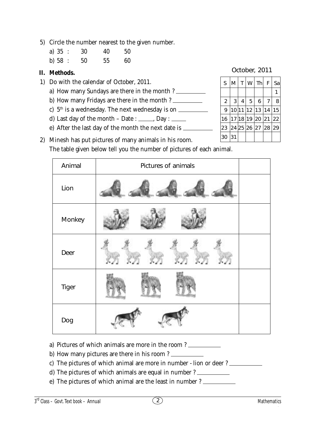5) Circle the number nearest to the given number.

| a) $35$ : | 30 | 40 | 50 |
|-----------|----|----|----|
| b) $58:$  | 50 | 55 | 60 |

# **II. Methods.**

- 1) Do with the calendar of October, 2011.
	- a) How many Sundays are there in the month ?
	- b) How many Fridays are there in the month ?
	- c)  $5<sup>th</sup>$  is a wednesday. The next wednesday is on  $\sqrt{ }$
	- d) Last day of the month Date :  $\frac{ }{ }$  Day :  $\frac{ }{ }$
	- e) After the last day of the month the next date is

| UUUUUI, ZUTT      |   |                |                |                |   |    |  |
|-------------------|---|----------------|----------------|----------------|---|----|--|
| S                 | M |                |                | T W Th F       |   | Sa |  |
|                   |   |                |                |                |   |    |  |
| $\overline{2}$    | 3 | $\overline{4}$ | $\overline{5}$ | 6              | 7 | 8  |  |
| 9                 |   |                |                | 10 11 12 13 14 |   | 15 |  |
| 16 17 18 19 20 21 |   |                |                |                |   | 22 |  |
| 23 24 25 26 27 28 |   |                |                |                |   | 29 |  |

October, 2011

 $|30|31|$ 

2) Minesh has put pictures of many animals in his room. The table given below tell you the number of pictures of each animal.

| Animal | Pictures of animals |
|--------|---------------------|
| Lion   |                     |
| Monkey |                     |
| Deer   |                     |
| Tiger  |                     |
| Dog    |                     |

- a) Pictures of which animals are more in the room ?
- b) How many pictures are there in his room ?
- c) The pictures of which animal are more in number lion or deer ?
- d) The pictures of which animals are equal in number ?
- e) The pictures of which animal are the least in number ?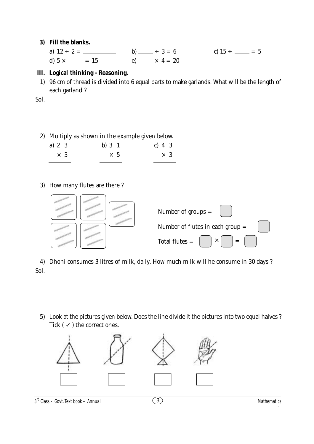#### **3) Fill the blanks.**

|                       |                                | c) $15 \div \_ = 5$ |
|-----------------------|--------------------------------|---------------------|
| d) $5 \times \_ = 15$ | e) $\frac{1}{2} \times 4 = 20$ |                     |

### **III. Logical thinking - Reasoning.**

1) 96 cm of thread is divided into 6 equal parts to make garlands. What will be the length of each garland ?

Sol.

## 2) Multiply as shown in the example given below.

| a) $2 \, 3$ |  | b) $3 \t1$ | c) 4 $3$ |            |  |
|-------------|--|------------|----------|------------|--|
| $\times$ 3  |  | $\times$ 5 |          | $\times$ 3 |  |
|             |  |            |          |            |  |

3) How many flutes are there ?



4) Dhoni consumes 3 litres of milk, daily. How much milk will he consume in 30 days ? Sol.

5) Look at the pictures given below. Does the line divide it the pictures into two equal halves ? Tick ( $\checkmark$ ) the correct ones.



 $3<sup>rd</sup> Class - Govt. Text book - Annual$  and Cass – Govt. Text book – **Annual**